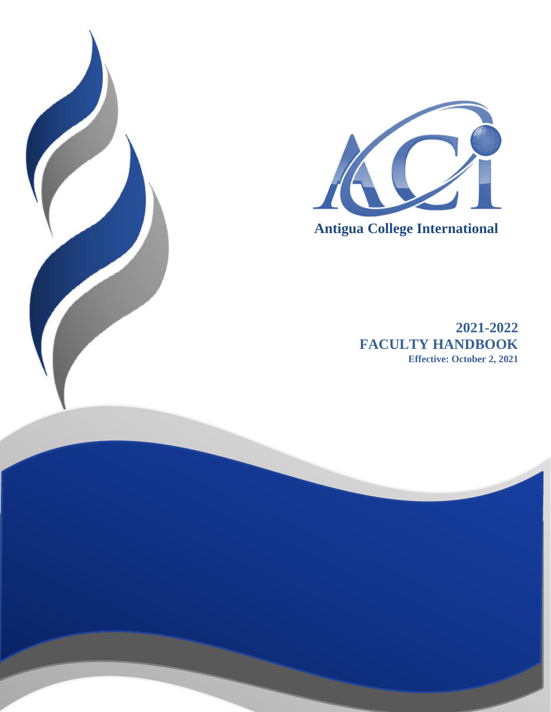



 **Antigua College International**

**2021-2022 FACULTY HANDBOOK Effective: October 2, 2021**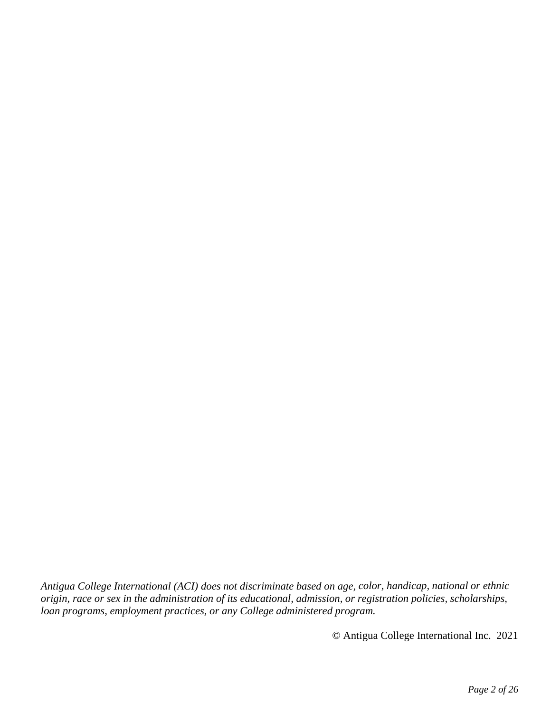*Antigua College International (ACI) does not discriminate based on age, color, handicap, national or ethnic origin, race or sex in the administration of its educational, admission, or registration policies, scholarships, loan programs, employment practices, or any College administered program.*

© Antigua College International Inc. 2021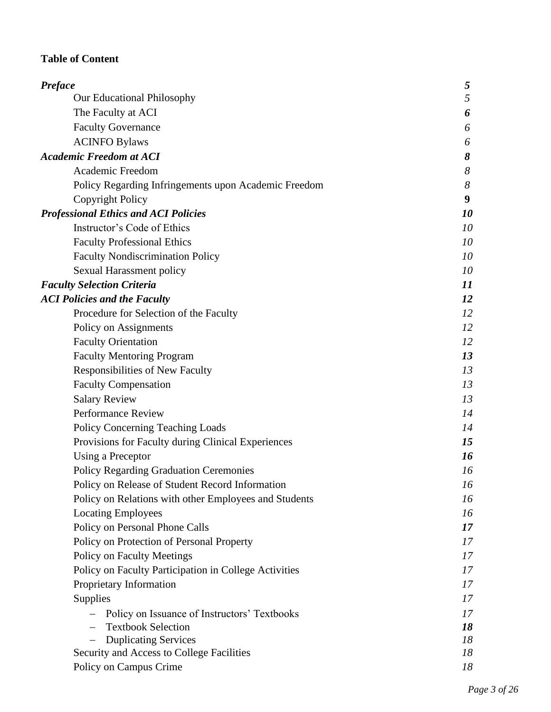# **Table of Content**

| Preface                                               | 5                |
|-------------------------------------------------------|------------------|
| Our Educational Philosophy                            | 5                |
| The Faculty at ACI                                    | 6                |
| <b>Faculty Governance</b>                             | 6                |
| <b>ACINFO Bylaws</b>                                  | 6                |
| <b>Academic Freedom at ACI</b>                        | 8                |
| Academic Freedom                                      | $\boldsymbol{8}$ |
| Policy Regarding Infringements upon Academic Freedom  | $\boldsymbol{8}$ |
| <b>Copyright Policy</b>                               | 9                |
| <b>Professional Ethics and ACI Policies</b>           | 10               |
| Instructor's Code of Ethics                           | 10               |
| <b>Faculty Professional Ethics</b>                    | 10               |
| <b>Faculty Nondiscrimination Policy</b>               | 10               |
| Sexual Harassment policy                              | 10               |
| <b>Faculty Selection Criteria</b>                     | 11               |
| <b>ACI Policies and the Faculty</b>                   | 12               |
| Procedure for Selection of the Faculty                | 12               |
| Policy on Assignments                                 | 12               |
| <b>Faculty Orientation</b>                            | 12               |
| <b>Faculty Mentoring Program</b>                      | 13               |
| Responsibilities of New Faculty                       | 13               |
| <b>Faculty Compensation</b>                           | 13               |
| <b>Salary Review</b>                                  | 13               |
| <b>Performance Review</b>                             | 14               |
| Policy Concerning Teaching Loads                      | 14               |
| Provisions for Faculty during Clinical Experiences    | 15               |
| Using a Preceptor                                     | 16               |
| <b>Policy Regarding Graduation Ceremonies</b>         | 16               |
| Policy on Release of Student Record Information       | 16               |
| Policy on Relations with other Employees and Students | 16               |
| <b>Locating Employees</b>                             | 16               |
| Policy on Personal Phone Calls                        | 17               |
| Policy on Protection of Personal Property             | 17               |
| <b>Policy on Faculty Meetings</b>                     | 17               |
| Policy on Faculty Participation in College Activities | 17               |
| Proprietary Information                               | 17               |
| Supplies                                              | 17               |
| Policy on Issuance of Instructors' Textbooks          | 17               |
| <b>Textbook Selection</b>                             | 18               |
| <b>Duplicating Services</b>                           | 18               |
| Security and Access to College Facilities             | 18               |
| Policy on Campus Crime                                | 18               |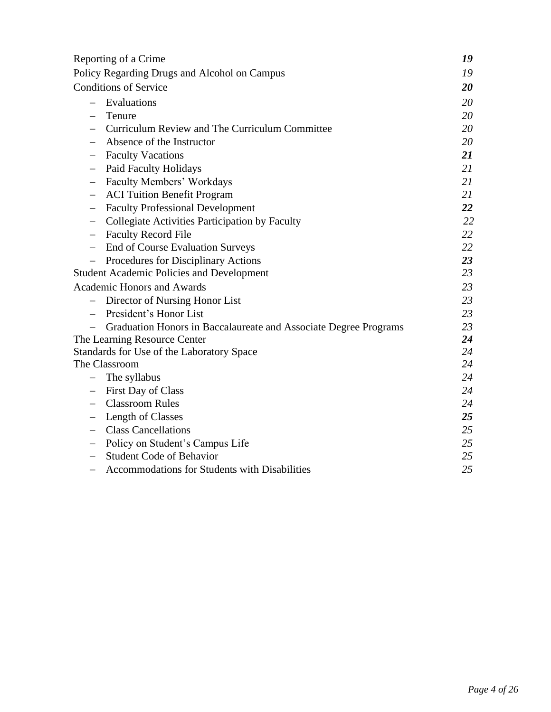|                                                                  | Reporting of a Crime                             | 19 |  |  |
|------------------------------------------------------------------|--------------------------------------------------|----|--|--|
| Policy Regarding Drugs and Alcohol on Campus                     |                                                  |    |  |  |
| <b>Conditions of Service</b>                                     |                                                  |    |  |  |
|                                                                  | Evaluations                                      | 20 |  |  |
|                                                                  | Tenure                                           | 20 |  |  |
|                                                                  | Curriculum Review and The Curriculum Committee   | 20 |  |  |
|                                                                  | Absence of the Instructor                        | 20 |  |  |
| $\qquad \qquad -$                                                | <b>Faculty Vacations</b>                         | 21 |  |  |
| $\overline{\phantom{m}}$                                         | <b>Paid Faculty Holidays</b>                     | 21 |  |  |
|                                                                  | Faculty Members' Workdays                        | 21 |  |  |
| $\qquad \qquad -$                                                | <b>ACI Tuition Benefit Program</b>               | 21 |  |  |
| $\qquad \qquad -$                                                | <b>Faculty Professional Development</b>          | 22 |  |  |
|                                                                  | Collegiate Activities Participation by Faculty   | 22 |  |  |
| -                                                                | <b>Faculty Record File</b>                       | 22 |  |  |
| $\qquad \qquad -$                                                | <b>End of Course Evaluation Surveys</b>          | 22 |  |  |
|                                                                  | Procedures for Disciplinary Actions              | 23 |  |  |
|                                                                  | <b>Student Academic Policies and Development</b> | 23 |  |  |
|                                                                  | <b>Academic Honors and Awards</b>                | 23 |  |  |
|                                                                  | Director of Nursing Honor List                   | 23 |  |  |
|                                                                  | President's Honor List                           | 23 |  |  |
| Graduation Honors in Baccalaureate and Associate Degree Programs |                                                  |    |  |  |
| The Learning Resource Center                                     |                                                  |    |  |  |
|                                                                  | Standards for Use of the Laboratory Space        | 24 |  |  |
|                                                                  | The Classroom                                    | 24 |  |  |
|                                                                  | The syllabus                                     | 24 |  |  |
|                                                                  | First Day of Class                               | 24 |  |  |
|                                                                  | <b>Classroom Rules</b>                           | 24 |  |  |
|                                                                  | Length of Classes                                | 25 |  |  |
| —                                                                | <b>Class Cancellations</b>                       | 25 |  |  |
|                                                                  | Policy on Student's Campus Life                  | 25 |  |  |
|                                                                  | <b>Student Code of Behavior</b>                  | 25 |  |  |
| $\qquad \qquad -$                                                | Accommodations for Students with Disabilities    | 25 |  |  |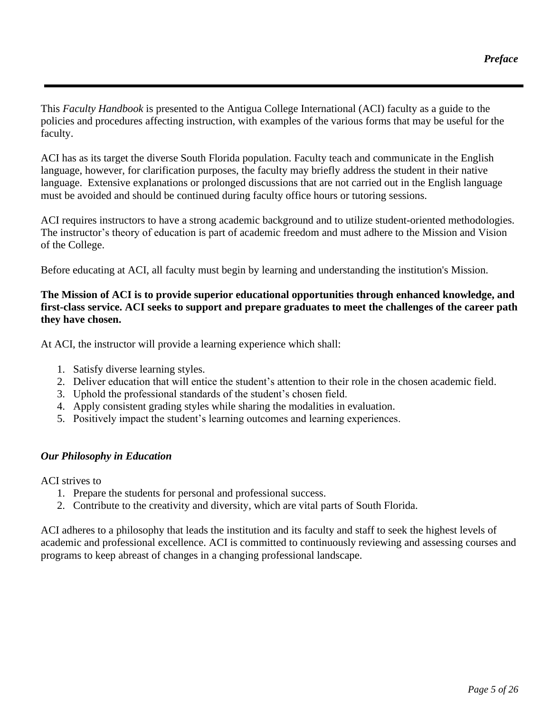This *Faculty Handbook* is presented to the Antigua College International (ACI) faculty as a guide to the policies and procedures affecting instruction, with examples of the various forms that may be useful for the faculty.

ACI has as its target the diverse South Florida population. Faculty teach and communicate in the English language, however, for clarification purposes, the faculty may briefly address the student in their native language. Extensive explanations or prolonged discussions that are not carried out in the English language must be avoided and should be continued during faculty office hours or tutoring sessions.

ACI requires instructors to have a strong academic background and to utilize student-oriented methodologies. The instructor's theory of education is part of academic freedom and must adhere to the Mission and Vision of the College.

Before educating at ACI, all faculty must begin by learning and understanding the institution's Mission.

### **The Mission of ACI is to provide superior educational opportunities through enhanced knowledge, and first-class service. ACI seeks to support and prepare graduates to meet the challenges of the career path they have chosen.**

At ACI, the instructor will provide a learning experience which shall:

- 1. Satisfy diverse learning styles.
- 2. Deliver education that will entice the student's attention to their role in the chosen academic field.
- 3. Uphold the professional standards of the student's chosen field.
- 4. Apply consistent grading styles while sharing the modalities in evaluation.
- 5. Positively impact the student's learning outcomes and learning experiences.

#### *Our Philosophy in Education*

ACI strives to

- 1. Prepare the students for personal and professional success.
- 2. Contribute to the creativity and diversity, which are vital parts of South Florida.

ACI adheres to a philosophy that leads the institution and its faculty and staff to seek the highest levels of academic and professional excellence. ACI is committed to continuously reviewing and assessing courses and programs to keep abreast of changes in a changing professional landscape.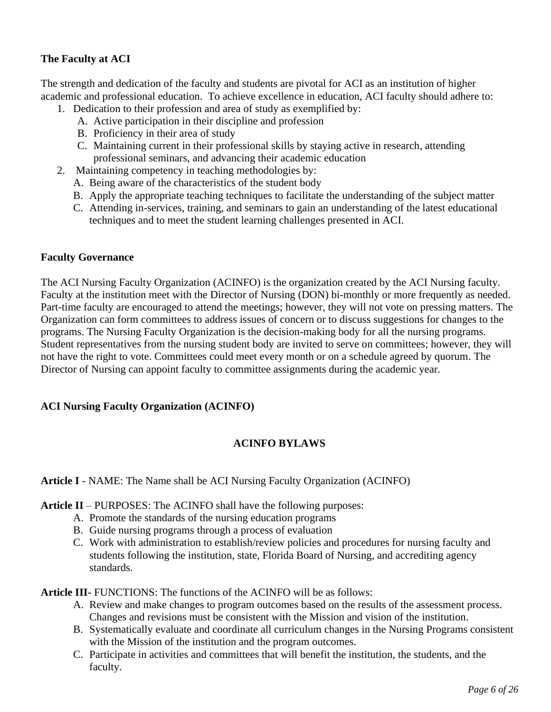# **The Faculty at ACI**

The strength and dedication of the faculty and students are pivotal for ACI as an institution of higher academic and professional education. To achieve excellence in education, ACI faculty should adhere to:

- 1. Dedication to their profession and area of study as exemplified by:
	- A. Active participation in their discipline and profession
	- B. Proficiency in their area of study
	- C. Maintaining current in their professional skills by staying active in research, attending professional seminars, and advancing their academic education
- 2. Maintaining competency in teaching methodologies by:
	- A. Being aware of the characteristics of the student body
	- B. Apply the appropriate teaching techniques to facilitate the understanding of the subject matter
	- C. Attending in-services, training, and seminars to gain an understanding of the latest educational techniques and to meet the student learning challenges presented in ACI.

#### **Faculty Governance**

The ACI Nursing Faculty Organization (ACINFO) is the organization created by the ACI Nursing faculty. Faculty at the institution meet with the Director of Nursing (DON) bi-monthly or more frequently as needed. Part-time faculty are encouraged to attend the meetings; however, they will not vote on pressing matters. The Organization can form committees to address issues of concern or to discuss suggestions for changes to the programs. The Nursing Faculty Organization is the decision-making body for all the nursing programs. Student representatives from the nursing student body are invited to serve on committees; however, they will not have the right to vote. Committees could meet every month or on a schedule agreed by quorum. The Director of Nursing can appoint faculty to committee assignments during the academic year.

#### **ACI Nursing Faculty Organization (ACINFO)**

### **ACINFO BYLAWS**

#### **Article I** - NAME: The Name shall be ACI Nursing Faculty Organization (ACINFO)

**Article II** – PURPOSES: The ACINFO shall have the following purposes:

- A. Promote the standards of the nursing education programs
- B. Guide nursing programs through a process of evaluation
- C. Work with administration to establish/review policies and procedures for nursing faculty and students following the institution, state, Florida Board of Nursing, and accrediting agency standards.

**Article III-** FUNCTIONS: The functions of the ACINFO will be as follows:

- A. Review and make changes to program outcomes based on the results of the assessment process. Changes and revisions must be consistent with the Mission and vision of the institution.
- B. Systematically evaluate and coordinate all curriculum changes in the Nursing Programs consistent with the Mission of the institution and the program outcomes.
- C. Participate in activities and committees that will benefit the institution, the students, and the faculty.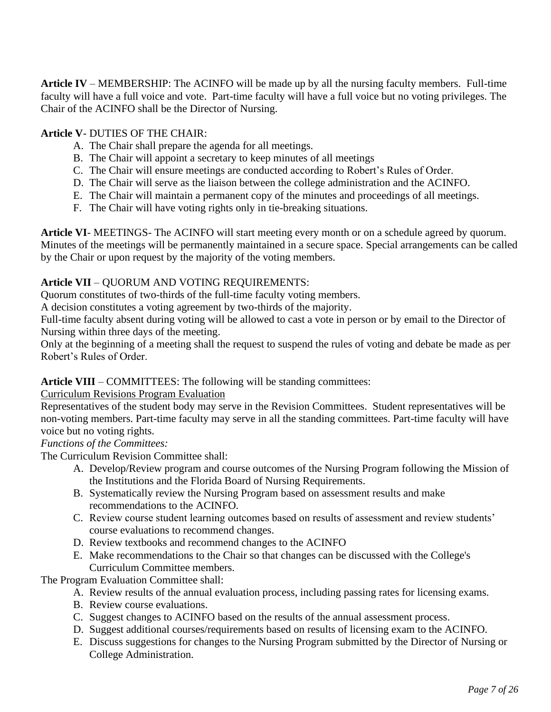**Article IV** – MEMBERSHIP: The ACINFO will be made up by all the nursing faculty members. Full-time faculty will have a full voice and vote. Part-time faculty will have a full voice but no voting privileges. The Chair of the ACINFO shall be the Director of Nursing.

# **Article V**- DUTIES OF THE CHAIR:

- A. The Chair shall prepare the agenda for all meetings.
- B. The Chair will appoint a secretary to keep minutes of all meetings
- C. The Chair will ensure meetings are conducted according to Robert's Rules of Order.
- D. The Chair will serve as the liaison between the college administration and the ACINFO.
- E. The Chair will maintain a permanent copy of the minutes and proceedings of all meetings.
- F. The Chair will have voting rights only in tie-breaking situations.

**Article VI**- MEETINGS- The ACINFO will start meeting every month or on a schedule agreed by quorum. Minutes of the meetings will be permanently maintained in a secure space. Special arrangements can be called by the Chair or upon request by the majority of the voting members.

## **Article VII** – QUORUM AND VOTING REQUIREMENTS:

Quorum constitutes of two-thirds of the full-time faculty voting members.

A decision constitutes a voting agreement by two-thirds of the majority.

Full-time faculty absent during voting will be allowed to cast a vote in person or by email to the Director of Nursing within three days of the meeting.

Only at the beginning of a meeting shall the request to suspend the rules of voting and debate be made as per Robert's Rules of Order.

### **Article VIII** – COMMITTEES: The following will be standing committees:

Curriculum Revisions Program Evaluation

Representatives of the student body may serve in the Revision Committees. Student representatives will be non-voting members. Part-time faculty may serve in all the standing committees. Part-time faculty will have voice but no voting rights.

*Functions of the Committees:* 

The Curriculum Revision Committee shall:

- A. Develop/Review program and course outcomes of the Nursing Program following the Mission of the Institutions and the Florida Board of Nursing Requirements.
- B. Systematically review the Nursing Program based on assessment results and make recommendations to the ACINFO.
- C. Review course student learning outcomes based on results of assessment and review students' course evaluations to recommend changes.
- D. Review textbooks and recommend changes to the ACINFO
- E. Make recommendations to the Chair so that changes can be discussed with the College's Curriculum Committee members.

The Program Evaluation Committee shall:

- A. Review results of the annual evaluation process, including passing rates for licensing exams.
- B. Review course evaluations.
- C. Suggest changes to ACINFO based on the results of the annual assessment process.
- D. Suggest additional courses/requirements based on results of licensing exam to the ACINFO.
- E. Discuss suggestions for changes to the Nursing Program submitted by the Director of Nursing or College Administration.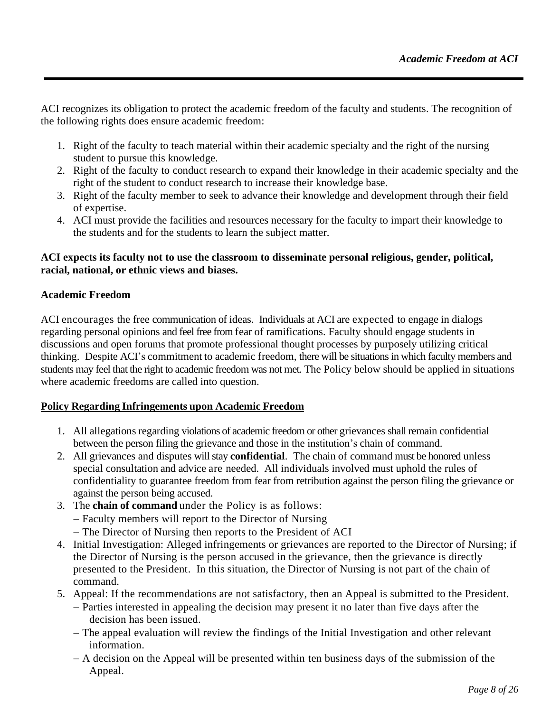ACI recognizes its obligation to protect the academic freedom of the faculty and students. The recognition of the following rights does ensure academic freedom:

- 1. Right of the faculty to teach material within their academic specialty and the right of the nursing student to pursue this knowledge.
- 2. Right of the faculty to conduct research to expand their knowledge in their academic specialty and the right of the student to conduct research to increase their knowledge base.
- 3. Right of the faculty member to seek to advance their knowledge and development through their field of expertise.
- 4. ACI must provide the facilities and resources necessary for the faculty to impart their knowledge to the students and for the students to learn the subject matter.

### **ACI expects its faculty not to use the classroom to disseminate personal religious, gender, political, racial, national, or ethnic views and biases.**

### **Academic Freedom**

ACI encourages the free communication of ideas. Individuals at ACI are expected to engage in dialogs regarding personal opinions and feel free from fear of ramifications. Faculty should engage students in discussions and open forums that promote professional thought processes by purposely utilizing critical thinking. Despite ACI's commitment to academic freedom, there will be situationsin which faculty members and students may feel that the right to academic freedom was not met. The Policy below should be applied in situations where academic freedoms are called into question.

#### **Policy Regarding Infringements upon Academic Freedom**

- 1. All allegations regarding violations of academic freedom or other grievances shall remain confidential between the person filing the grievance and those in the institution's chain of command.
- 2. All grievances and disputes will stay **confidential**. The chain of command must be honored unless special consultation and advice are needed. All individuals involved must uphold the rules of confidentiality to guarantee freedom from fear from retribution against the person filing the grievance or against the person being accused.
- 3. The **chain of command** under the Policy is as follows:
	- − Faculty members will report to the Director of Nursing
	- − The Director of Nursing then reports to the President of ACI
- 4. Initial Investigation: Alleged infringements or grievances are reported to the Director of Nursing; if the Director of Nursing is the person accused in the grievance, then the grievance is directly presented to the President. In this situation, the Director of Nursing is not part of the chain of command.
- 5. Appeal: If the recommendations are not satisfactory, then an Appeal is submitted to the President.
	- − Parties interested in appealing the decision may present it no later than five days after the decision has been issued.
	- − The appeal evaluation will review the findings of the Initial Investigation and other relevant information.
	- − A decision on the Appeal will be presented within ten business days of the submission of the Appeal.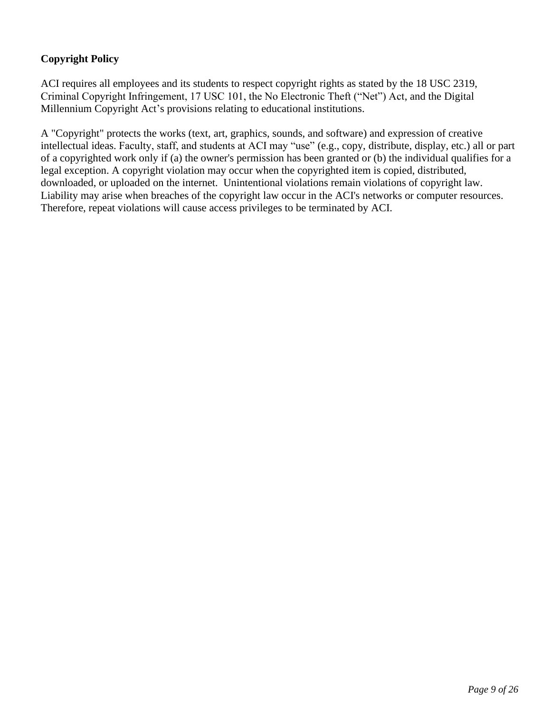# **Copyright Policy**

ACI requires all employees and its students to respect copyright rights as stated by the 18 USC 2319, Criminal Copyright Infringement, 17 USC 101, the No Electronic Theft ("Net") Act, and the Digital Millennium Copyright Act's provisions relating to educational institutions.

A "Copyright" protects the works (text, art, graphics, sounds, and software) and expression of creative intellectual ideas. Faculty, staff, and students at ACI may "use" (e.g., copy, distribute, display, etc.) all or part of a copyrighted work only if (a) the owner's permission has been granted or (b) the individual qualifies for a legal exception. A copyright violation may occur when the copyrighted item is copied, distributed, downloaded, or uploaded on the internet. Unintentional violations remain violations of copyright law. Liability may arise when breaches of the copyright law occur in the ACI's networks or computer resources. Therefore, repeat violations will cause access privileges to be terminated by ACI.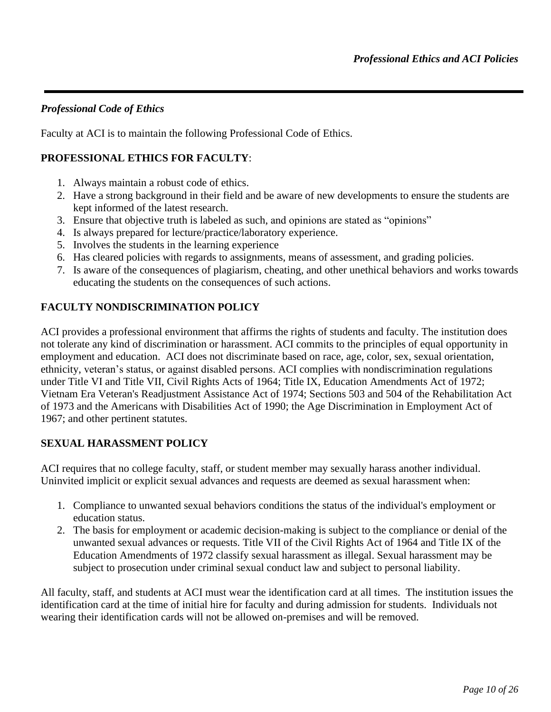### *Professional Code of Ethics*

Faculty at ACI is to maintain the following Professional Code of Ethics.

## **PROFESSIONAL ETHICS FOR FACULTY**:

- 1. Always maintain a robust code of ethics.
- 2. Have a strong background in their field and be aware of new developments to ensure the students are kept informed of the latest research.
- 3. Ensure that objective truth is labeled as such, and opinions are stated as "opinions"
- 4. Is always prepared for lecture/practice/laboratory experience.
- 5. Involves the students in the learning experience
- 6. Has cleared policies with regards to assignments, means of assessment, and grading policies.
- 7. Is aware of the consequences of plagiarism, cheating, and other unethical behaviors and works towards educating the students on the consequences of such actions.

## **FACULTY NONDISCRIMINATION POLICY**

ACI provides a professional environment that affirms the rights of students and faculty. The institution does not tolerate any kind of discrimination or harassment. ACI commits to the principles of equal opportunity in employment and education. ACI does not discriminate based on race, age, color, sex, sexual orientation, ethnicity, veteran's status, or against disabled persons. ACI complies with nondiscrimination regulations under Title VI and Title VII, Civil Rights Acts of 1964; Title IX, Education Amendments Act of 1972; Vietnam Era Veteran's Readjustment Assistance Act of 1974; Sections 503 and 504 of the Rehabilitation Act of 1973 and the Americans with Disabilities Act of 1990; the Age Discrimination in Employment Act of 1967; and other pertinent statutes.

### **SEXUAL HARASSMENT POLICY**

ACI requires that no college faculty, staff, or student member may sexually harass another individual. Uninvited implicit or explicit sexual advances and requests are deemed as sexual harassment when:

- 1. Compliance to unwanted sexual behaviors conditions the status of the individual's employment or education status.
- 2. The basis for employment or academic decision-making is subject to the compliance or denial of the unwanted sexual advances or requests. Title VII of the Civil Rights Act of 1964 and Title IX of the Education Amendments of 1972 classify sexual harassment as illegal. Sexual harassment may be subject to prosecution under criminal sexual conduct law and subject to personal liability.

All faculty, staff, and students at ACI must wear the identification card at all times. The institution issues the identification card at the time of initial hire for faculty and during admission for students. Individuals not wearing their identification cards will not be allowed on-premises and will be removed.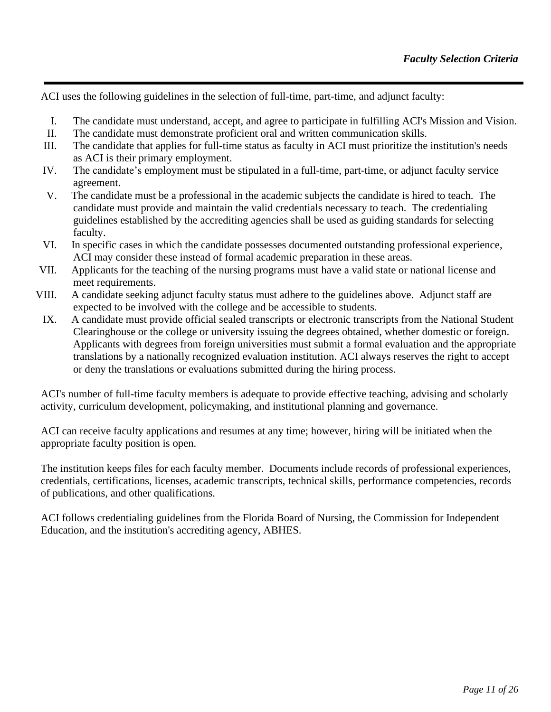ACI uses the following guidelines in the selection of full-time, part-time, and adjunct faculty:

- I. The candidate must understand, accept, and agree to participate in fulfilling ACI's Mission and Vision.
- II. The candidate must demonstrate proficient oral and written communication skills.
- III. The candidate that applies for full-time status as faculty in ACI must prioritize the institution's needs as ACI is their primary employment.
- IV. The candidate's employment must be stipulated in a full-time, part-time, or adjunct faculty service agreement.
- V. The candidate must be a professional in the academic subjects the candidate is hired to teach. The candidate must provide and maintain the valid credentials necessary to teach. The credentialing guidelines established by the accrediting agencies shall be used as guiding standards for selecting faculty.
- VI. In specific cases in which the candidate possesses documented outstanding professional experience, ACI may consider these instead of formal academic preparation in these areas.
- VII. Applicants for the teaching of the nursing programs must have a valid state or national license and meet requirements.
- VIII. A candidate seeking adjunct faculty status must adhere to the guidelines above. Adjunct staff are expected to be involved with the college and be accessible to students.
- IX. A candidate must provide official sealed transcripts or electronic transcripts from the National Student Clearinghouse or the college or university issuing the degrees obtained, whether domestic or foreign. Applicants with degrees from foreign universities must submit a formal evaluation and the appropriate translations by a nationally recognized evaluation institution. ACI always reserves the right to accept or deny the translations or evaluations submitted during the hiring process.

ACI's number of full-time faculty members is adequate to provide effective teaching, advising and scholarly activity, curriculum development, policymaking, and institutional planning and governance.

ACI can receive faculty applications and resumes at any time; however, hiring will be initiated when the appropriate faculty position is open.

The institution keeps files for each faculty member. Documents include records of professional experiences, credentials, certifications, licenses, academic transcripts, technical skills, performance competencies, records of publications, and other qualifications.

ACI follows credentialing guidelines from the Florida Board of Nursing, the Commission for Independent Education, and the institution's accrediting agency, ABHES.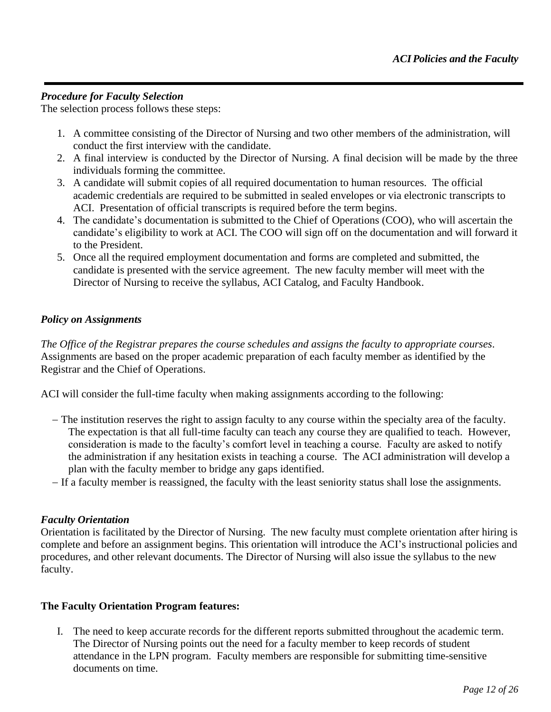### *Procedure for Faculty Selection*

The selection process follows these steps:

- 1. A committee consisting of the Director of Nursing and two other members of the administration, will conduct the first interview with the candidate.
- 2. A final interview is conducted by the Director of Nursing. A final decision will be made by the three individuals forming the committee.
- 3. A candidate will submit copies of all required documentation to human resources. The official academic credentials are required to be submitted in sealed envelopes or via electronic transcripts to ACI. Presentation of official transcripts is required before the term begins.
- 4. The candidate's documentation is submitted to the Chief of Operations (COO), who will ascertain the candidate's eligibility to work at ACI. The COO will sign off on the documentation and will forward it to the President.
- 5. Once all the required employment documentation and forms are completed and submitted, the candidate is presented with the service agreement. The new faculty member will meet with the Director of Nursing to receive the syllabus, ACI Catalog, and Faculty Handbook.

#### *Policy on Assignments*

*The Office of the Registrar prepares the course schedules and assigns the faculty to appropriate courses*. Assignments are based on the proper academic preparation of each faculty member as identified by the Registrar and the Chief of Operations.

ACI will consider the full-time faculty when making assignments according to the following:

- − The institution reserves the right to assign faculty to any course within the specialty area of the faculty. The expectation is that all full-time faculty can teach any course they are qualified to teach. However, consideration is made to the faculty's comfort level in teaching a course. Faculty are asked to notify the administration if any hesitation exists in teaching a course. The ACI administration will develop a plan with the faculty member to bridge any gaps identified.
- − If a faculty member is reassigned, the faculty with the least seniority status shall lose the assignments.

#### *Faculty Orientation*

Orientation is facilitated by the Director of Nursing. The new faculty must complete orientation after hiring is complete and before an assignment begins. This orientation will introduce the ACI's instructional policies and procedures, and other relevant documents. The Director of Nursing will also issue the syllabus to the new faculty.

#### **The Faculty Orientation Program features:**

I. The need to keep accurate records for the different reports submitted throughout the academic term. The Director of Nursing points out the need for a faculty member to keep records of student attendance in the LPN program. Faculty members are responsible for submitting time-sensitive documents on time.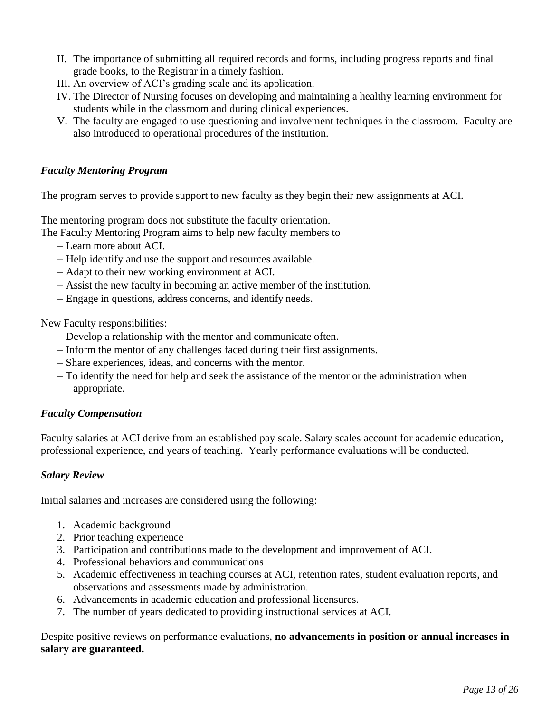- II. The importance of submitting all required records and forms, including progress reports and final grade books, to the Registrar in a timely fashion.
- III. An overview of ACI's grading scale and its application.
- IV. The Director of Nursing focuses on developing and maintaining a healthy learning environment for students while in the classroom and during clinical experiences.
- V. The faculty are engaged to use questioning and involvement techniques in the classroom. Faculty are also introduced to operational procedures of the institution.

### *Faculty Mentoring Program*

The program serves to provide support to new faculty as they begin their new assignments at ACI.

The mentoring program does not substitute the faculty orientation.

- The Faculty Mentoring Program aims to help new faculty members to
	- − Learn more about ACI.
	- − Help identify and use the support and resources available.
	- − Adapt to their new working environment at ACI.
	- − Assist the new faculty in becoming an active member of the institution.
	- − Engage in questions, address concerns, and identify needs.

New Faculty responsibilities:

- − Develop a relationship with the mentor and communicate often.
- − Inform the mentor of any challenges faced during their first assignments.
- − Share experiences, ideas, and concerns with the mentor.
- − To identify the need for help and seek the assistance of the mentor or the administration when appropriate.

### *Faculty Compensation*

Faculty salaries at ACI derive from an established pay scale. Salary scales account for academic education, professional experience, and years of teaching. Yearly performance evaluations will be conducted.

### *Salary Review*

Initial salaries and increases are considered using the following:

- 1. Academic background
- 2. Prior teaching experience
- 3. Participation and contributions made to the development and improvement of ACI.
- 4. Professional behaviors and communications
- 5. Academic effectiveness in teaching courses at ACI, retention rates, student evaluation reports, and observations and assessments made by administration.
- 6. Advancements in academic education and professional licensures.
- 7. The number of years dedicated to providing instructional services at ACI.

Despite positive reviews on performance evaluations, **no advancements in position or annual increases in salary are guaranteed.**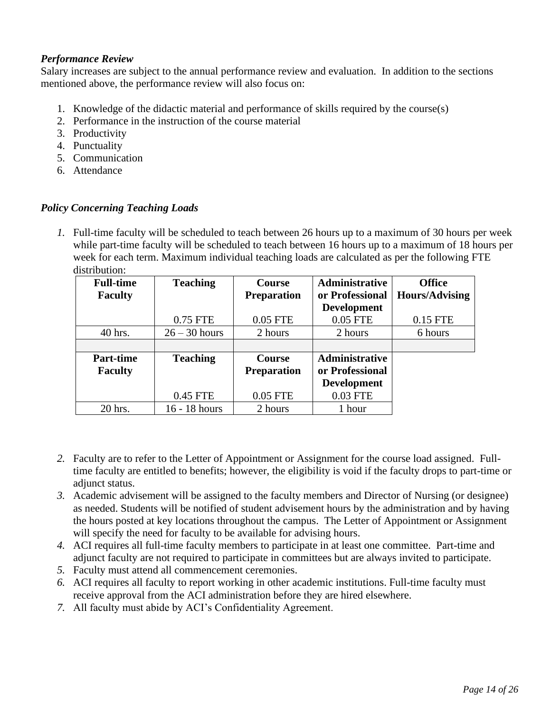### *Performance Review*

Salary increases are subject to the annual performance review and evaluation. In addition to the sections mentioned above, the performance review will also focus on:

- 1. Knowledge of the didactic material and performance of skills required by the course(s)
- 2. Performance in the instruction of the course material
- 3. Productivity
- 4. Punctuality
- 5. Communication
- 6. Attendance

### *Policy Concerning Teaching Loads*

*1.* Full-time faculty will be scheduled to teach between 26 hours up to a maximum of 30 hours per week while part-time faculty will be scheduled to teach between 16 hours up to a maximum of 18 hours per week for each term. Maximum individual teaching loads are calculated as per the following FTE distribution:

| <b>Full-time</b> | <b>Teaching</b> | <b>Course</b>      | <b>Administrative</b> | <b>Office</b>         |
|------------------|-----------------|--------------------|-----------------------|-----------------------|
| <b>Faculty</b>   |                 | <b>Preparation</b> | or Professional       | <b>Hours/Advising</b> |
|                  |                 |                    | <b>Development</b>    |                       |
|                  | 0.75 FTE        | 0.05 FTE           | 0.05 FTE              | 0.15 FTE              |
| 40 hrs.          | $26 - 30$ hours | 2 hours            | 2 hours               | 6 hours               |
|                  |                 |                    |                       |                       |
| <b>Part-time</b> | <b>Teaching</b> | <b>Course</b>      | Administrative        |                       |
| <b>Faculty</b>   |                 | <b>Preparation</b> | or Professional       |                       |
|                  |                 |                    | <b>Development</b>    |                       |
|                  | 0.45 FTE        | 0.05 FTE           | 0.03 FTE              |                       |
| 20 hrs.          | 16 - 18 hours   | 2 hours            | 1 hour                |                       |

- *2.* Faculty are to refer to the Letter of Appointment or Assignment for the course load assigned. Fulltime faculty are entitled to benefits; however, the eligibility is void if the faculty drops to part-time or adjunct status.
- *3.* Academic advisement will be assigned to the faculty members and Director of Nursing (or designee) as needed. Students will be notified of student advisement hours by the administration and by having the hours posted at key locations throughout the campus. The Letter of Appointment or Assignment will specify the need for faculty to be available for advising hours.
- *4.* ACI requires all full-time faculty members to participate in at least one committee. Part-time and adjunct faculty are not required to participate in committees but are always invited to participate.
- *5.* Faculty must attend all commencement ceremonies.
- *6.* ACI requires all faculty to report working in other academic institutions. Full-time faculty must receive approval from the ACI administration before they are hired elsewhere.
- *7.* All faculty must abide by ACI's Confidentiality Agreement.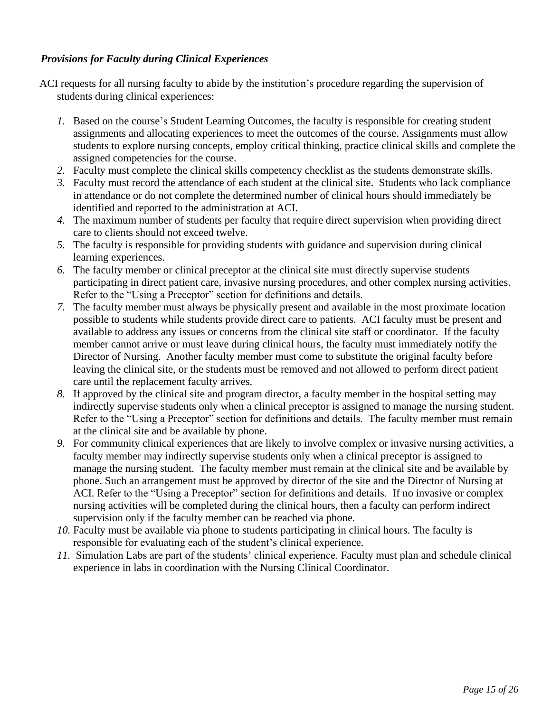### *Provisions for Faculty during Clinical Experiences*

- ACI requests for all nursing faculty to abide by the institution's procedure regarding the supervision of students during clinical experiences:
	- *1.* Based on the course's Student Learning Outcomes, the faculty is responsible for creating student assignments and allocating experiences to meet the outcomes of the course. Assignments must allow students to explore nursing concepts, employ critical thinking, practice clinical skills and complete the assigned competencies for the course.
	- *2.* Faculty must complete the clinical skills competency checklist as the students demonstrate skills.
	- *3.* Faculty must record the attendance of each student at the clinical site. Students who lack compliance in attendance or do not complete the determined number of clinical hours should immediately be identified and reported to the administration at ACI.
	- *4.* The maximum number of students per faculty that require direct supervision when providing direct care to clients should not exceed twelve.
	- *5.* The faculty is responsible for providing students with guidance and supervision during clinical learning experiences.
	- *6.* The faculty member or clinical preceptor at the clinical site must directly supervise students participating in direct patient care, invasive nursing procedures, and other complex nursing activities. Refer to the "Using a Preceptor" section for definitions and details.
	- *7.* The faculty member must always be physically present and available in the most proximate location possible to students while students provide direct care to patients. ACI faculty must be present and available to address any issues or concerns from the clinical site staff or coordinator. If the faculty member cannot arrive or must leave during clinical hours, the faculty must immediately notify the Director of Nursing. Another faculty member must come to substitute the original faculty before leaving the clinical site, or the students must be removed and not allowed to perform direct patient care until the replacement faculty arrives.
	- *8.* If approved by the clinical site and program director, a faculty member in the hospital setting may indirectly supervise students only when a clinical preceptor is assigned to manage the nursing student. Refer to the "Using a Preceptor" section for definitions and details. The faculty member must remain at the clinical site and be available by phone.
	- *9.* For community clinical experiences that are likely to involve complex or invasive nursing activities, a faculty member may indirectly supervise students only when a clinical preceptor is assigned to manage the nursing student. The faculty member must remain at the clinical site and be available by phone. Such an arrangement must be approved by director of the site and the Director of Nursing at ACI. Refer to the "Using a Preceptor" section for definitions and details. If no invasive or complex nursing activities will be completed during the clinical hours, then a faculty can perform indirect supervision only if the faculty member can be reached via phone.
	- *10.* Faculty must be available via phone to students participating in clinical hours. The faculty is responsible for evaluating each of the student's clinical experience.
	- *11.* Simulation Labs are part of the students' clinical experience. Faculty must plan and schedule clinical experience in labs in coordination with the Nursing Clinical Coordinator.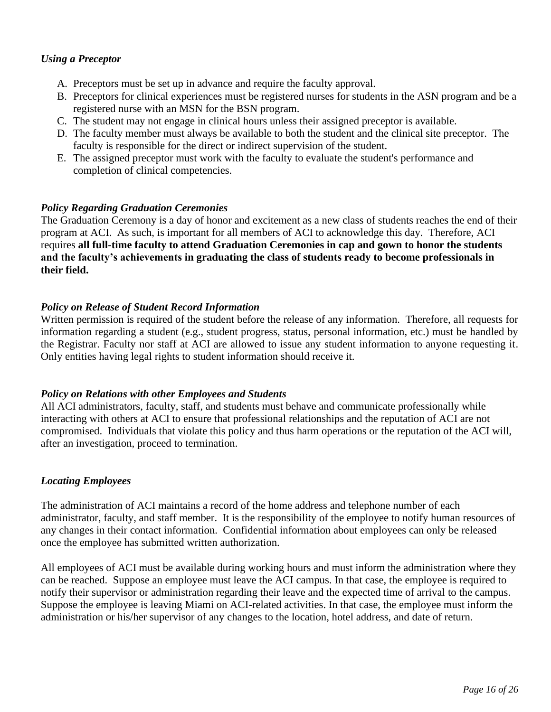### *Using a Preceptor*

- A. Preceptors must be set up in advance and require the faculty approval.
- B. Preceptors for clinical experiences must be registered nurses for students in the ASN program and be a registered nurse with an MSN for the BSN program.
- C. The student may not engage in clinical hours unless their assigned preceptor is available.
- D. The faculty member must always be available to both the student and the clinical site preceptor. The faculty is responsible for the direct or indirect supervision of the student.
- E. The assigned preceptor must work with the faculty to evaluate the student's performance and completion of clinical competencies.

### *Policy Regarding Graduation Ceremonies*

The Graduation Ceremony is a day of honor and excitement as a new class of students reaches the end of their program at ACI. As such, is important for all members of ACI to acknowledge this day. Therefore, ACI requires **all full-time faculty to attend Graduation Ceremonies in cap and gown to honor the students and the faculty's achievements in graduating the class of students ready to become professionals in their field.**

### *Policy on Release of Student Record Information*

Written permission is required of the student before the release of any information. Therefore, all requests for information regarding a student (e.g., student progress, status, personal information, etc.) must be handled by the Registrar. Faculty nor staff at ACI are allowed to issue any student information to anyone requesting it. Only entities having legal rights to student information should receive it.

#### *Policy on Relations with other Employees and Students*

All ACI administrators, faculty, staff, and students must behave and communicate professionally while interacting with others at ACI to ensure that professional relationships and the reputation of ACI are not compromised. Individuals that violate this policy and thus harm operations or the reputation of the ACI will, after an investigation, proceed to termination.

### *Locating Employees*

The administration of ACI maintains a record of the home address and telephone number of each administrator, faculty, and staff member. It is the responsibility of the employee to notify human resources of any changes in their contact information. Confidential information about employees can only be released once the employee has submitted written authorization.

All employees of ACI must be available during working hours and must inform the administration where they can be reached. Suppose an employee must leave the ACI campus. In that case, the employee is required to notify their supervisor or administration regarding their leave and the expected time of arrival to the campus. Suppose the employee is leaving Miami on ACI-related activities. In that case, the employee must inform the administration or his/her supervisor of any changes to the location, hotel address, and date of return.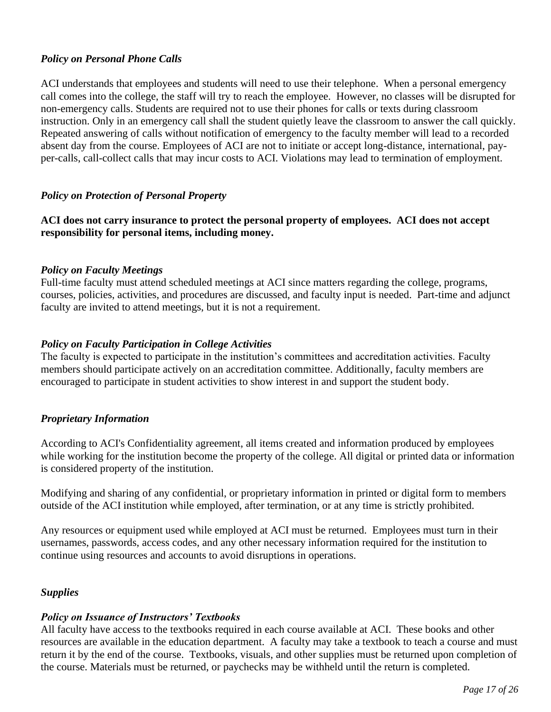### *Policy on Personal Phone Calls*

ACI understands that employees and students will need to use their telephone. When a personal emergency call comes into the college, the staff will try to reach the employee. However, no classes will be disrupted for non-emergency calls. Students are required not to use their phones for calls or texts during classroom instruction. Only in an emergency call shall the student quietly leave the classroom to answer the call quickly. Repeated answering of calls without notification of emergency to the faculty member will lead to a recorded absent day from the course. Employees of ACI are not to initiate or accept long-distance, international, payper-calls, call-collect calls that may incur costs to ACI. Violations may lead to termination of employment.

### *Policy on Protection of Personal Property*

**ACI does not carry insurance to protect the personal property of employees. ACI does not accept responsibility for personal items, including money.**

#### *Policy on Faculty Meetings*

Full-time faculty must attend scheduled meetings at ACI since matters regarding the college, programs, courses, policies, activities, and procedures are discussed, and faculty input is needed. Part-time and adjunct faculty are invited to attend meetings, but it is not a requirement.

#### *Policy on Faculty Participation in College Activities*

The faculty is expected to participate in the institution's committees and accreditation activities. Faculty members should participate actively on an accreditation committee. Additionally, faculty members are encouraged to participate in student activities to show interest in and support the student body.

#### *Proprietary Information*

According to ACI's Confidentiality agreement, all items created and information produced by employees while working for the institution become the property of the college. All digital or printed data or information is considered property of the institution.

Modifying and sharing of any confidential, or proprietary information in printed or digital form to members outside of the ACI institution while employed, after termination, or at any time is strictly prohibited.

Any resources or equipment used while employed at ACI must be returned. Employees must turn in their usernames, passwords, access codes, and any other necessary information required for the institution to continue using resources and accounts to avoid disruptions in operations.

#### *Supplies*

#### *Policy on Issuance of Instructors' Textbooks*

All faculty have access to the textbooks required in each course available at ACI. These books and other resources are available in the education department. A faculty may take a textbook to teach a course and must return it by the end of the course. Textbooks, visuals, and other supplies must be returned upon completion of the course. Materials must be returned, or paychecks may be withheld until the return is completed.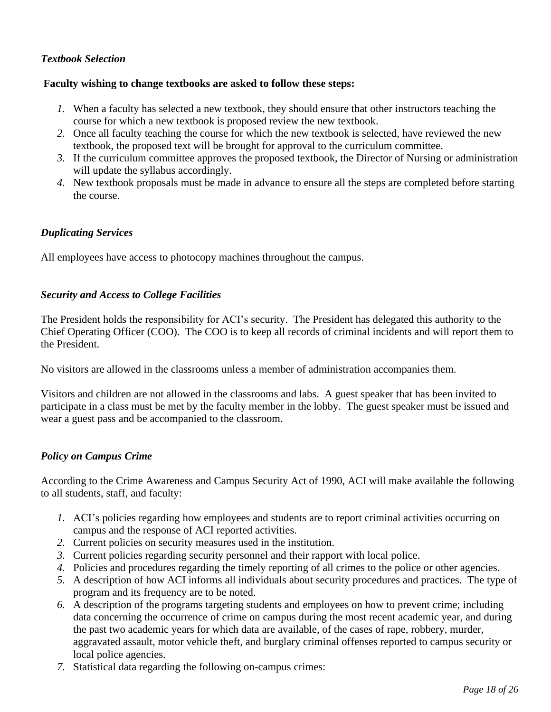### *Textbook Selection*

#### **Faculty wishing to change textbooks are asked to follow these steps:**

- *1.* When a faculty has selected a new textbook, they should ensure that other instructors teaching the course for which a new textbook is proposed review the new textbook.
- *2.* Once all faculty teaching the course for which the new textbook is selected, have reviewed the new textbook, the proposed text will be brought for approval to the curriculum committee.
- *3.* If the curriculum committee approves the proposed textbook, the Director of Nursing or administration will update the syllabus accordingly.
- *4.* New textbook proposals must be made in advance to ensure all the steps are completed before starting the course.

#### *Duplicating Services*

All employees have access to photocopy machines throughout the campus.

#### *Security and Access to College Facilities*

The President holds the responsibility for ACI's security. The President has delegated this authority to the Chief Operating Officer (COO). The COO is to keep all records of criminal incidents and will report them to the President.

No visitors are allowed in the classrooms unless a member of administration accompanies them.

Visitors and children are not allowed in the classrooms and labs. A guest speaker that has been invited to participate in a class must be met by the faculty member in the lobby. The guest speaker must be issued and wear a guest pass and be accompanied to the classroom.

#### *Policy on Campus Crime*

According to the Crime Awareness and Campus Security Act of 1990, ACI will make available the following to all students, staff, and faculty:

- *1.* ACI's policies regarding how employees and students are to report criminal activities occurring on campus and the response of ACI reported activities.
- *2.* Current policies on security measures used in the institution.
- *3.* Current policies regarding security personnel and their rapport with local police.
- *4.* Policies and procedures regarding the timely reporting of all crimes to the police or other agencies.
- *5.* A description of how ACI informs all individuals about security procedures and practices. The type of program and its frequency are to be noted.
- *6.* A description of the programs targeting students and employees on how to prevent crime; including data concerning the occurrence of crime on campus during the most recent academic year, and during the past two academic years for which data are available, of the cases of rape, robbery, murder, aggravated assault, motor vehicle theft, and burglary criminal offenses reported to campus security or local police agencies.
- *7.* Statistical data regarding the following on-campus crimes: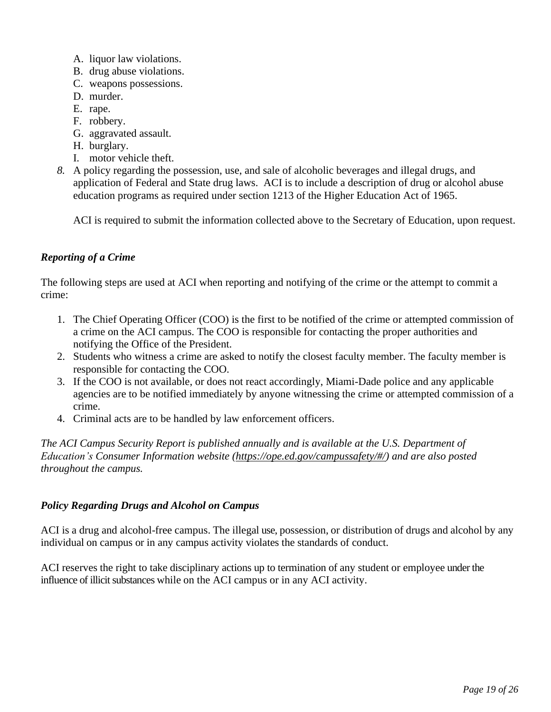- A. liquor law violations.
- B. drug abuse violations.
- C. weapons possessions.
- D. murder.
- E. rape.
- F. robbery.
- G. aggravated assault.
- H. burglary.
- I. motor vehicle theft.
- *8.* A policy regarding the possession, use, and sale of alcoholic beverages and illegal drugs, and application of Federal and State drug laws. ACI is to include a description of drug or alcohol abuse education programs as required under section 1213 of the Higher Education Act of 1965.

ACI is required to submit the information collected above to the Secretary of Education, upon request.

## *Reporting of a Crime*

The following steps are used at ACI when reporting and notifying of the crime or the attempt to commit a crime:

- 1. The Chief Operating Officer (COO) is the first to be notified of the crime or attempted commission of a crime on the ACI campus. The COO is responsible for contacting the proper authorities and notifying the Office of the President.
- 2. Students who witness a crime are asked to notify the closest faculty member. The faculty member is responsible for contacting the COO.
- 3. If the COO is not available, or does not react accordingly, Miami-Dade police and any applicable agencies are to be notified immediately by anyone witnessing the crime or attempted commission of a crime.
- 4. Criminal acts are to be handled by law enforcement officers.

*The ACI Campus Security Report is published annually and is available at the U.S. Department of Education's Consumer Information website [\(https://ope.ed.gov/campussafety/#/\)](https://ope.ed.gov/campussafety/#/) and are also posted throughout the campus.*

### *Policy Regarding Drugs and Alcohol on Campus*

ACI is a drug and alcohol-free campus. The illegal use, possession, or distribution of drugs and alcohol by any individual on campus or in any campus activity violates the standards of conduct.

ACI reserves the right to take disciplinary actions up to termination of any student or employee under the influence of illicit substances while on the ACI campus or in any ACI activity.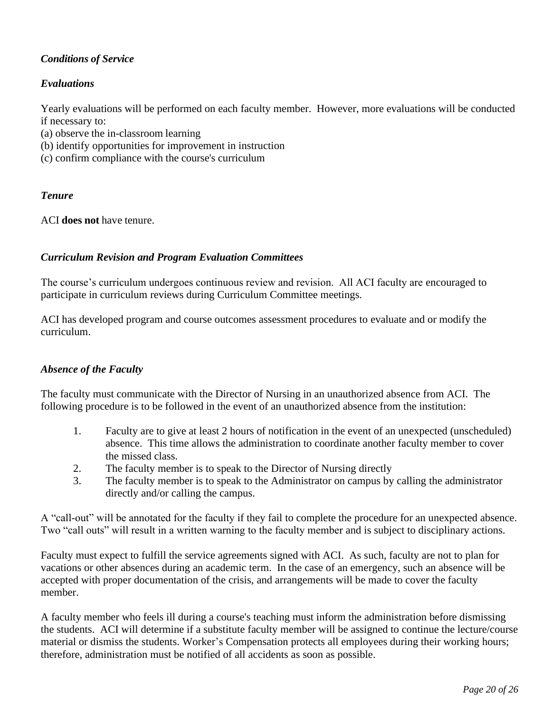# *Conditions of Service*

# *Evaluations*

Yearly evaluations will be performed on each faculty member. However, more evaluations will be conducted if necessary to:

- (a) observe the in-classroom learning
- (b) identify opportunities for improvement in instruction
- (c) confirm compliance with the course's curriculum

### *Tenure*

ACI **does not** have tenure.

### *Curriculum Revision and Program Evaluation Committees*

The course's curriculum undergoes continuous review and revision. All ACI faculty are encouraged to participate in curriculum reviews during Curriculum Committee meetings.

ACI has developed program and course outcomes assessment procedures to evaluate and or modify the curriculum.

### *Absence of the Faculty*

The faculty must communicate with the Director of Nursing in an unauthorized absence from ACI. The following procedure is to be followed in the event of an unauthorized absence from the institution:

- 1. Faculty are to give at least 2 hours of notification in the event of an unexpected (unscheduled) absence. This time allows the administration to coordinate another faculty member to cover the missed class.
- 2. The faculty member is to speak to the Director of Nursing directly
- 3. The faculty member is to speak to the Administrator on campus by calling the administrator directly and/or calling the campus.

A "call-out" will be annotated for the faculty if they fail to complete the procedure for an unexpected absence. Two "call outs" will result in a written warning to the faculty member and is subject to disciplinary actions.

Faculty must expect to fulfill the service agreements signed with ACI. As such, faculty are not to plan for vacations or other absences during an academic term. In the case of an emergency, such an absence will be accepted with proper documentation of the crisis, and arrangements will be made to cover the faculty member.

A faculty member who feels ill during a course's teaching must inform the administration before dismissing the students. ACI will determine if a substitute faculty member will be assigned to continue the lecture/course material or dismiss the students. Worker's Compensation protects all employees during their working hours; therefore, administration must be notified of all accidents as soon as possible.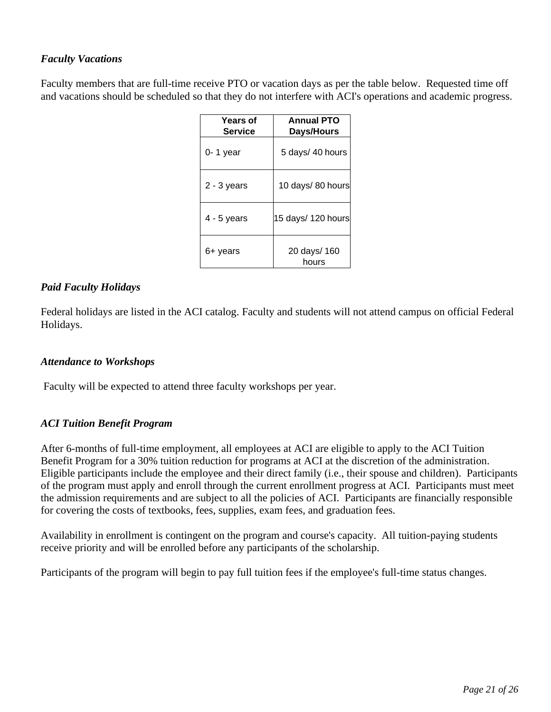## *Faculty Vacations*

Faculty members that are full-time receive PTO or vacation days as per the table below. Requested time off and vacations should be scheduled so that they do not interfere with ACI's operations and academic progress.

| <b>Years of</b><br><b>Service</b> | <b>Annual PTO</b><br>Days/Hours |
|-----------------------------------|---------------------------------|
| $0 - 1$ year                      | 5 days/ 40 hours                |
| 2 - 3 years                       | 10 days/80 hours                |
| $4 - 5$ years                     | 15 days/ 120 hours              |
| 6+ years                          | 20 days/ 160<br>hours           |

### *Paid Faculty Holidays*

Federal holidays are listed in the ACI catalog. Faculty and students will not attend campus on official Federal Holidays.

### *Attendance to Workshops*

Faculty will be expected to attend three faculty workshops per year.

### *ACI Tuition Benefit Program*

After 6-months of full-time employment, all employees at ACI are eligible to apply to the ACI Tuition Benefit Program for a 30% tuition reduction for programs at ACI at the discretion of the administration. Eligible participants include the employee and their direct family (i.e., their spouse and children). Participants of the program must apply and enroll through the current enrollment progress at ACI. Participants must meet the admission requirements and are subject to all the policies of ACI. Participants are financially responsible for covering the costs of textbooks, fees, supplies, exam fees, and graduation fees.

Availability in enrollment is contingent on the program and course's capacity. All tuition-paying students receive priority and will be enrolled before any participants of the scholarship.

Participants of the program will begin to pay full tuition fees if the employee's full-time status changes.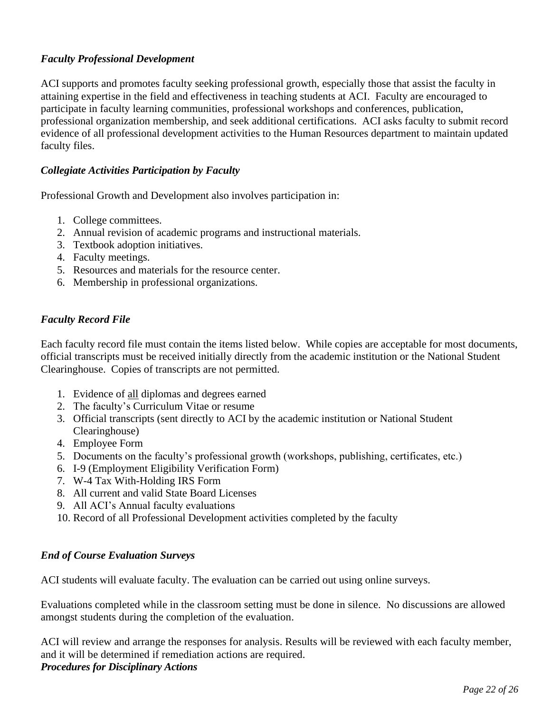## *Faculty Professional Development*

ACI supports and promotes faculty seeking professional growth, especially those that assist the faculty in attaining expertise in the field and effectiveness in teaching students at ACI. Faculty are encouraged to participate in faculty learning communities, professional workshops and conferences, publication, professional organization membership, and seek additional certifications. ACI asks faculty to submit record evidence of all professional development activities to the Human Resources department to maintain updated faculty files.

### *Collegiate Activities Participation by Faculty*

Professional Growth and Development also involves participation in:

- 1. College committees.
- 2. Annual revision of academic programs and instructional materials.
- 3. Textbook adoption initiatives.
- 4. Faculty meetings.
- 5. Resources and materials for the resource center.
- 6. Membership in professional organizations.

### *Faculty Record File*

Each faculty record file must contain the items listed below. While copies are acceptable for most documents, official transcripts must be received initially directly from the academic institution or the National Student Clearinghouse. Copies of transcripts are not permitted.

- 1. Evidence of all diplomas and degrees earned
- 2. The faculty's Curriculum Vitae or resume
- 3. Official transcripts (sent directly to ACI by the academic institution or National Student Clearinghouse)
- 4. Employee Form
- 5. Documents on the faculty's professional growth (workshops, publishing, certificates, etc.)
- 6. I-9 (Employment Eligibility Verification Form)
- 7. W-4 Tax With-Holding IRS Form
- 8. All current and valid State Board Licenses
- 9. All ACI's Annual faculty evaluations
- 10. Record of all Professional Development activities completed by the faculty

#### *End of Course Evaluation Surveys*

ACI students will evaluate faculty. The evaluation can be carried out using online surveys.

Evaluations completed while in the classroom setting must be done in silence. No discussions are allowed amongst students during the completion of the evaluation.

ACI will review and arrange the responses for analysis. Results will be reviewed with each faculty member, and it will be determined if remediation actions are required. *Procedures for Disciplinary Actions*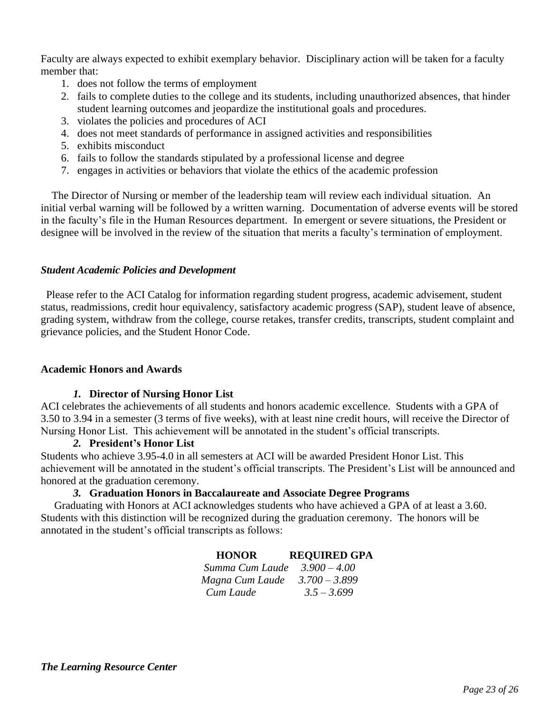Faculty are always expected to exhibit exemplary behavior. Disciplinary action will be taken for a faculty member that:

- 1. does not follow the terms of employment
- 2. fails to complete duties to the college and its students, including unauthorized absences, that hinder student learning outcomes and jeopardize the institutional goals and procedures.
- 3. violates the policies and procedures of ACI
- 4. does not meet standards of performance in assigned activities and responsibilities
- 5. exhibits misconduct
- 6. fails to follow the standards stipulated by a professional license and degree
- 7. engages in activities or behaviors that violate the ethics of the academic profession

 The Director of Nursing or member of the leadership team will review each individual situation. An initial verbal warning will be followed by a written warning. Documentation of adverse events will be stored in the faculty's file in the Human Resources department. In emergent or severe situations, the President or designee will be involved in the review of the situation that merits a faculty's termination of employment.

#### *Student Academic Policies and Development*

 Please refer to the ACI Catalog for information regarding student progress, academic advisement, student status, readmissions, credit hour equivalency, satisfactory academic progress (SAP), student leave of absence, grading system, withdraw from the college, course retakes, transfer credits, transcripts, student complaint and grievance policies, and the Student Honor Code.

#### **Academic Honors and Awards**

#### *1.* **Director of Nursing Honor List**

ACI celebrates the achievements of all students and honors academic excellence. Students with a GPA of 3.50 to 3.94 in a semester (3 terms of five weeks), with at least nine credit hours, will receive the Director of Nursing Honor List. This achievement will be annotated in the student's official transcripts.

#### *2.* **President's Honor List**

Students who achieve 3.95-4.0 in all semesters at ACI will be awarded President Honor List. This achievement will be annotated in the student's official transcripts. The President's List will be announced and honored at the graduation ceremony.

#### *3.* **Graduation Honors in Baccalaureate and Associate Degree Programs**

 Graduating with Honors at ACI acknowledges students who have achieved a GPA of at least a 3.60. Students with this distinction will be recognized during the graduation ceremony. The honors will be annotated in the student's official transcripts as follows:

#### **HONOR REQUIRED GPA**

*Summa Cum Laude 3.900 – 4.00 Magna Cum Laude 3.700 – 3.899 Cum Laude 3.5 – 3.699*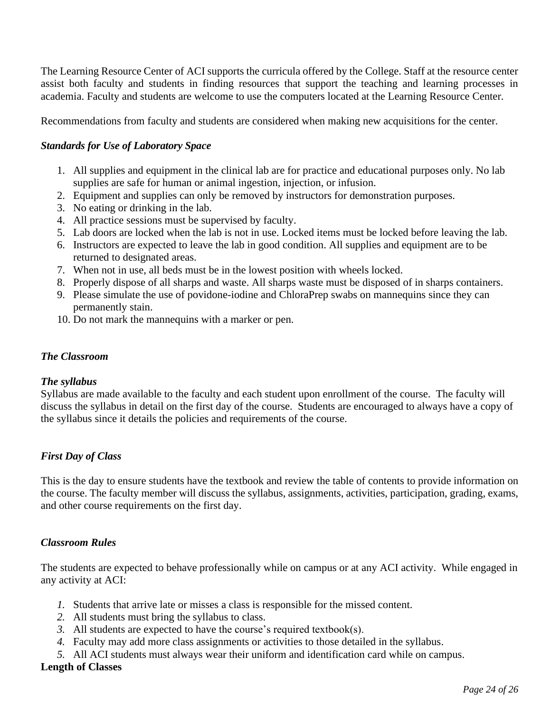The Learning Resource Center of ACI supports the curricula offered by the College. Staff at the resource center assist both faculty and students in finding resources that support the teaching and learning processes in academia. Faculty and students are welcome to use the computers located at the Learning Resource Center.

Recommendations from faculty and students are considered when making new acquisitions for the center.

### *Standards for Use of Laboratory Space*

- 1. All supplies and equipment in the clinical lab are for practice and educational purposes only. No lab supplies are safe for human or animal ingestion, injection, or infusion.
- 2. Equipment and supplies can only be removed by instructors for demonstration purposes.
- 3. No eating or drinking in the lab.
- 4. All practice sessions must be supervised by faculty.
- 5. Lab doors are locked when the lab is not in use. Locked items must be locked before leaving the lab.
- 6. Instructors are expected to leave the lab in good condition. All supplies and equipment are to be returned to designated areas.
- 7. When not in use, all beds must be in the lowest position with wheels locked.
- 8. Properly dispose of all sharps and waste. All sharps waste must be disposed of in sharps containers.
- 9. Please simulate the use of povidone-iodine and ChloraPrep swabs on mannequins since they can permanently stain.
- 10. Do not mark the mannequins with a marker or pen.

#### *The Classroom*

#### *The syllabus*

Syllabus are made available to the faculty and each student upon enrollment of the course. The faculty will discuss the syllabus in detail on the first day of the course. Students are encouraged to always have a copy of the syllabus since it details the policies and requirements of the course.

#### *First Day of Class*

This is the day to ensure students have the textbook and review the table of contents to provide information on the course. The faculty member will discuss the syllabus, assignments, activities, participation, grading, exams, and other course requirements on the first day.

#### *Classroom Rules*

The students are expected to behave professionally while on campus or at any ACI activity. While engaged in any activity at ACI:

- *1.* Students that arrive late or misses a class is responsible for the missed content.
- *2.* All students must bring the syllabus to class.
- *3.* All students are expected to have the course's required textbook(s).
- *4.* Faculty may add more class assignments or activities to those detailed in the syllabus.
- *5.* All ACI students must always wear their uniform and identification card while on campus.

#### **Length of Classes**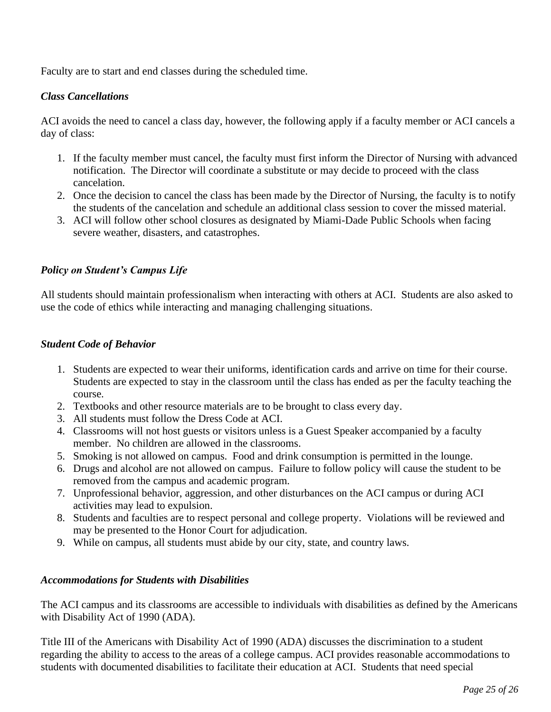Faculty are to start and end classes during the scheduled time.

### *Class Cancellations*

ACI avoids the need to cancel a class day, however, the following apply if a faculty member or ACI cancels a day of class:

- 1. If the faculty member must cancel, the faculty must first inform the Director of Nursing with advanced notification. The Director will coordinate a substitute or may decide to proceed with the class cancelation.
- 2. Once the decision to cancel the class has been made by the Director of Nursing, the faculty is to notify the students of the cancelation and schedule an additional class session to cover the missed material.
- 3. ACI will follow other school closures as designated by Miami-Dade Public Schools when facing severe weather, disasters, and catastrophes.

### *Policy on Student's Campus Life*

All students should maintain professionalism when interacting with others at ACI. Students are also asked to use the code of ethics while interacting and managing challenging situations.

### *Student Code of Behavior*

- 1. Students are expected to wear their uniforms, identification cards and arrive on time for their course. Students are expected to stay in the classroom until the class has ended as per the faculty teaching the course.
- 2. Textbooks and other resource materials are to be brought to class every day.
- 3. All students must follow the Dress Code at ACI.
- 4. Classrooms will not host guests or visitors unless is a Guest Speaker accompanied by a faculty member. No children are allowed in the classrooms.
- 5. Smoking is not allowed on campus. Food and drink consumption is permitted in the lounge.
- 6. Drugs and alcohol are not allowed on campus. Failure to follow policy will cause the student to be removed from the campus and academic program.
- 7. Unprofessional behavior, aggression, and other disturbances on the ACI campus or during ACI activities may lead to expulsion.
- 8. Students and faculties are to respect personal and college property. Violations will be reviewed and may be presented to the Honor Court for adjudication.
- 9. While on campus, all students must abide by our city, state, and country laws.

### *Accommodations for Students with Disabilities*

The ACI campus and its classrooms are accessible to individuals with disabilities as defined by the Americans with Disability Act of 1990 (ADA).

Title III of the Americans with Disability Act of 1990 (ADA) discusses the discrimination to a student regarding the ability to access to the areas of a college campus. ACI provides reasonable accommodations to students with documented disabilities to facilitate their education at ACI. Students that need special